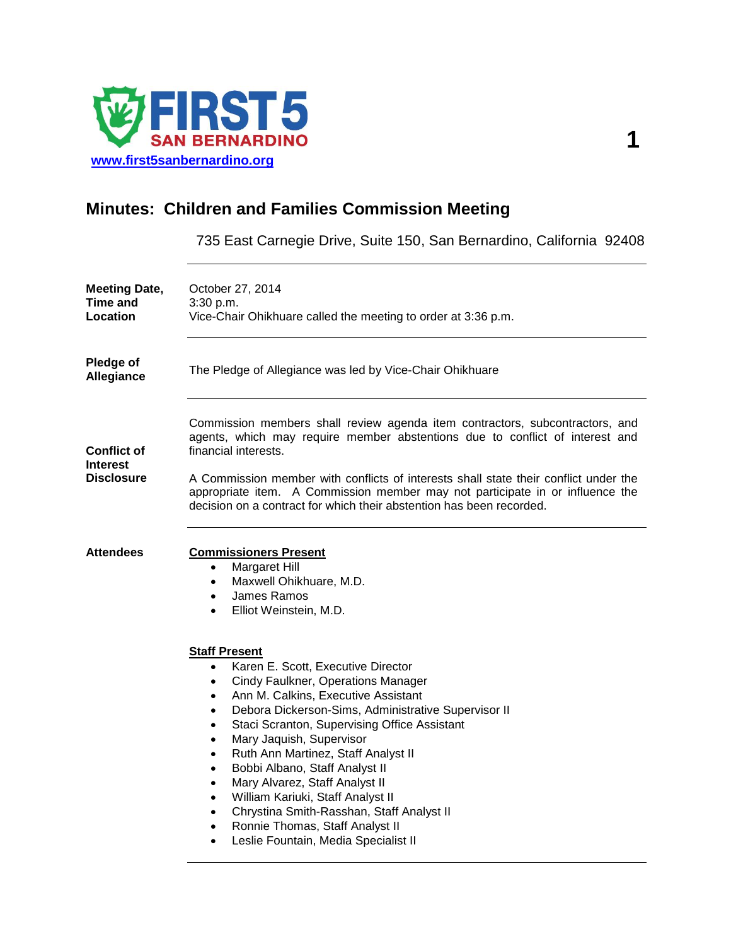

# **Minutes: Children and Families Commission Meeting**

735 East Carnegie Drive, Suite 150, San Bernardino, California 92408

| <b>Meeting Date,</b><br><b>Time and</b><br><b>Location</b> | October 27, 2014<br>3:30 p.m.<br>Vice-Chair Ohikhuare called the meeting to order at 3:36 p.m.                                                                                                                                                                                                                                                                                                                                                                                                                                                                                                                                                                                                                              |
|------------------------------------------------------------|-----------------------------------------------------------------------------------------------------------------------------------------------------------------------------------------------------------------------------------------------------------------------------------------------------------------------------------------------------------------------------------------------------------------------------------------------------------------------------------------------------------------------------------------------------------------------------------------------------------------------------------------------------------------------------------------------------------------------------|
| Pledge of<br>Allegiance                                    | The Pledge of Allegiance was led by Vice-Chair Ohikhuare                                                                                                                                                                                                                                                                                                                                                                                                                                                                                                                                                                                                                                                                    |
| <b>Conflict of</b><br><b>Interest</b><br><b>Disclosure</b> | Commission members shall review agenda item contractors, subcontractors, and<br>agents, which may require member abstentions due to conflict of interest and<br>financial interests.<br>A Commission member with conflicts of interests shall state their conflict under the                                                                                                                                                                                                                                                                                                                                                                                                                                                |
|                                                            | appropriate item. A Commission member may not participate in or influence the<br>decision on a contract for which their abstention has been recorded.                                                                                                                                                                                                                                                                                                                                                                                                                                                                                                                                                                       |
| <b>Attendees</b>                                           | <b>Commissioners Present</b><br>Margaret Hill<br>$\bullet$<br>Maxwell Ohikhuare, M.D.<br>$\bullet$<br>James Ramos<br>$\bullet$<br>Elliot Weinstein, M.D.<br>$\bullet$                                                                                                                                                                                                                                                                                                                                                                                                                                                                                                                                                       |
|                                                            | <b>Staff Present</b><br>Karen E. Scott, Executive Director<br>$\bullet$<br>Cindy Faulkner, Operations Manager<br>$\bullet$<br>Ann M. Calkins, Executive Assistant<br>$\bullet$<br>Debora Dickerson-Sims, Administrative Supervisor II<br>$\bullet$<br>Staci Scranton, Supervising Office Assistant<br>$\bullet$<br>Mary Jaquish, Supervisor<br>$\bullet$<br>Ruth Ann Martinez, Staff Analyst II<br>$\bullet$<br>Bobbi Albano, Staff Analyst II<br>$\bullet$<br>Mary Alvarez, Staff Analyst II<br>$\bullet$<br>William Kariuki, Staff Analyst II<br>$\bullet$<br>Chrystina Smith-Rasshan, Staff Analyst II<br>$\bullet$<br>Ronnie Thomas, Staff Analyst II<br>$\bullet$<br>Leslie Fountain, Media Specialist II<br>$\bullet$ |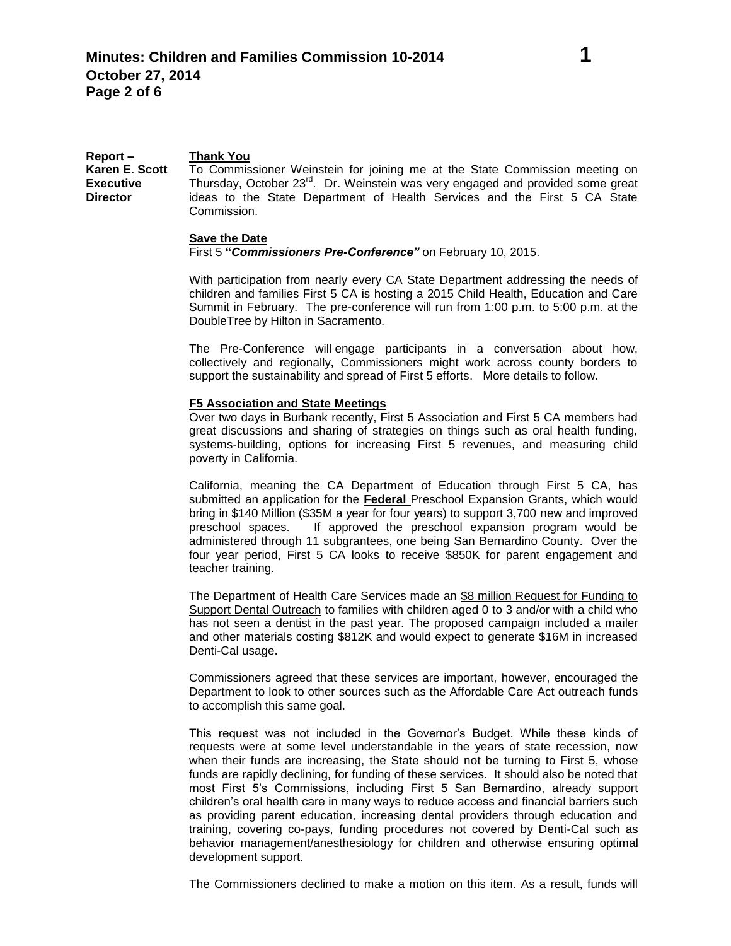**Report – Karen E. Scott Executive Director Thank You** To Commissioner Weinstein for joining me at the State Commission meeting on Thursday, October 23<sup>rd</sup>. Dr. Weinstein was very engaged and provided some great ideas to the State Department of Health Services and the First 5 CA State Commission.

#### **Save the Date**

First 5 **"***Commissioners Pre-Conference"* on February 10, 2015.

With participation from nearly every CA State Department addressing the needs of children and families First 5 CA is hosting a 2015 Child Health, Education and Care Summit in February. The pre-conference will run from 1:00 p.m. to 5:00 p.m. at the DoubleTree by Hilton in Sacramento.

The Pre-Conference will engage participants in a conversation about how, collectively and regionally, Commissioners might work across county borders to support the sustainability and spread of First 5 efforts. More details to follow.

#### **F5 Association and State Meetings**

Over two days in Burbank recently, First 5 Association and First 5 CA members had great discussions and sharing of strategies on things such as oral health funding, systems-building, options for increasing First 5 revenues, and measuring child poverty in California.

California, meaning the CA Department of Education through First 5 CA, has submitted an application for the **Federal** Preschool Expansion Grants, which would bring in \$140 Million (\$35M a year for four years) to support 3,700 new and improved preschool spaces. If approved the preschool expansion program would be administered through 11 subgrantees, one being San Bernardino County. Over the four year period, First 5 CA looks to receive \$850K for parent engagement and teacher training.

The Department of Health Care Services made an \$8 million Request for Funding to Support Dental Outreach to families with children aged 0 to 3 and/or with a child who has not seen a dentist in the past year. The proposed campaign included a mailer and other materials costing \$812K and would expect to generate \$16M in increased Denti-Cal usage.

Commissioners agreed that these services are important, however, encouraged the Department to look to other sources such as the Affordable Care Act outreach funds to accomplish this same goal.

This request was not included in the Governor's Budget. While these kinds of requests were at some level understandable in the years of state recession, now when their funds are increasing, the State should not be turning to First 5, whose funds are rapidly declining, for funding of these services. It should also be noted that most First 5's Commissions, including First 5 San Bernardino, already support children's oral health care in many ways to reduce access and financial barriers such as providing parent education, increasing dental providers through education and training, covering co-pays, funding procedures not covered by Denti-Cal such as behavior management/anesthesiology for children and otherwise ensuring optimal development support.

The Commissioners declined to make a motion on this item. As a result, funds will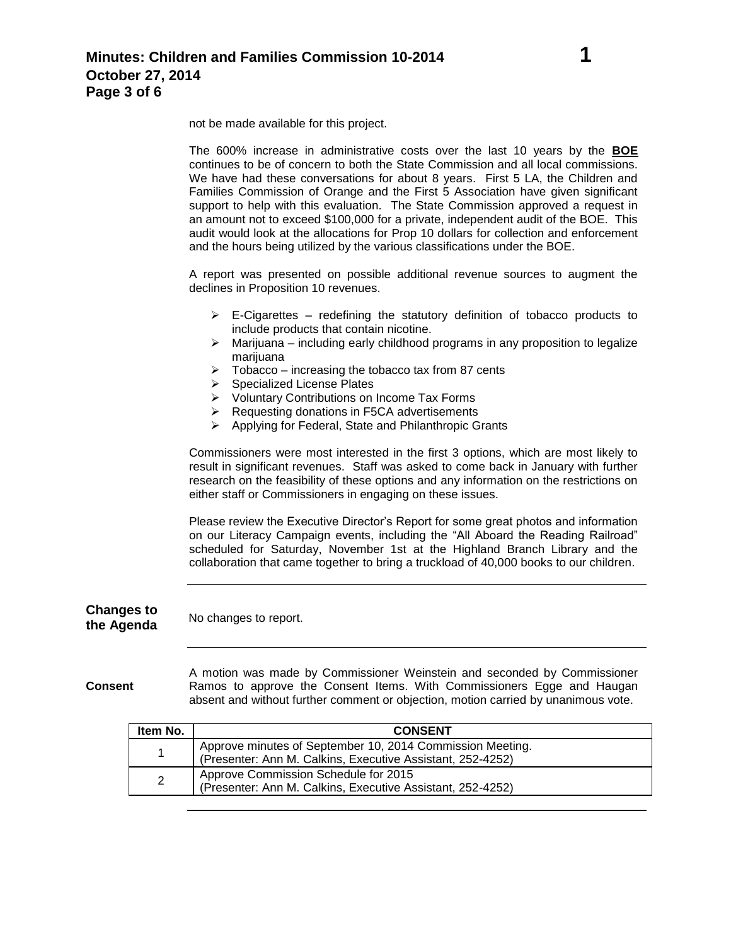not be made available for this project.

The 600% increase in administrative costs over the last 10 years by the **BOE** continues to be of concern to both the State Commission and all local commissions. We have had these conversations for about 8 years. First 5 LA, the Children and Families Commission of Orange and the First 5 Association have given significant support to help with this evaluation. The State Commission approved a request in an amount not to exceed \$100,000 for a private, independent audit of the BOE. This audit would look at the allocations for Prop 10 dollars for collection and enforcement and the hours being utilized by the various classifications under the BOE.

A report was presented on possible additional revenue sources to augment the declines in Proposition 10 revenues.

- $\triangleright$  E-Cigarettes redefining the statutory definition of tobacco products to include products that contain nicotine.
- $\triangleright$  Marijuana including early childhood programs in any proposition to legalize marijuana
- $\triangleright$  Tobacco increasing the tobacco tax from 87 cents
- $\triangleright$  Specialized License Plates
- ▶ Voluntary Contributions on Income Tax Forms
- $\triangleright$  Requesting donations in F5CA advertisements
- $\triangleright$  Applying for Federal, State and Philanthropic Grants

Commissioners were most interested in the first 3 options, which are most likely to result in significant revenues. Staff was asked to come back in January with further research on the feasibility of these options and any information on the restrictions on either staff or Commissioners in engaging on these issues.

Please review the Executive Director's Report for some great photos and information on our Literacy Campaign events, including the "All Aboard the Reading Railroad" scheduled for Saturday, November 1st at the Highland Branch Library and the collaboration that came together to bring a truckload of 40,000 books to our children.

### **Changes to the Agenda** No changes to report.

**Consent** A motion was made by Commissioner Weinstein and seconded by Commissioner Ramos to approve the Consent Items. With Commissioners Egge and Haugan absent and without further comment or objection, motion carried by unanimous vote.

| Item No. | <b>CONSENT</b>                                                                                                          |
|----------|-------------------------------------------------------------------------------------------------------------------------|
|          | Approve minutes of September 10, 2014 Commission Meeting.<br>(Presenter: Ann M. Calkins, Executive Assistant, 252-4252) |
| 2        | Approve Commission Schedule for 2015<br>(Presenter: Ann M. Calkins, Executive Assistant, 252-4252)                      |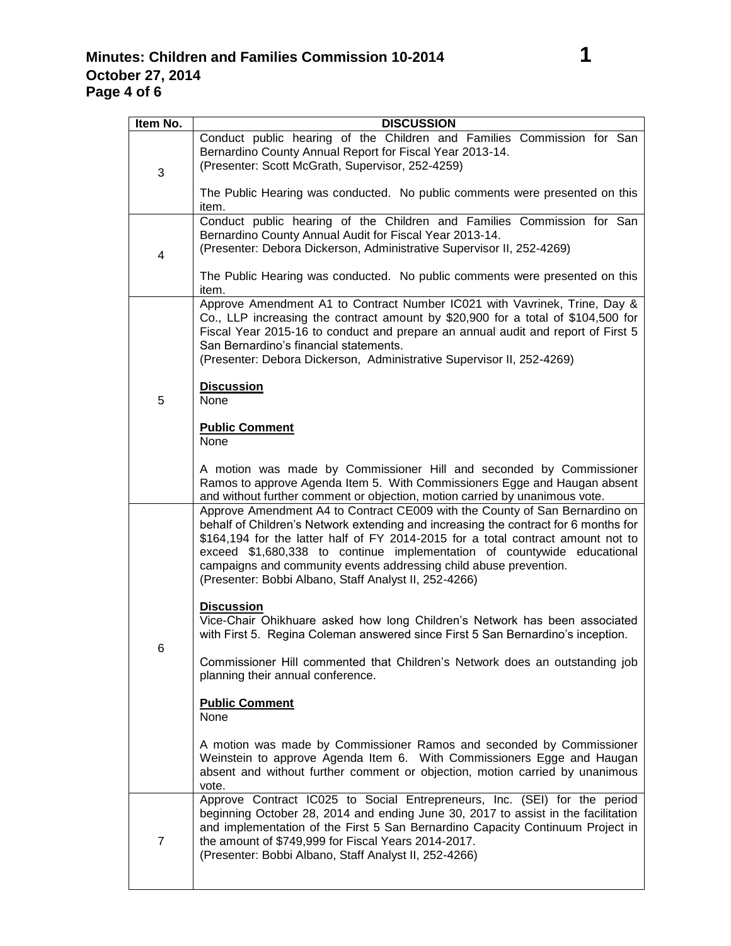| Item No. | <b>DISCUSSION</b>                                                                                                                                                                                                                                                                                                                                                                                                                                               |
|----------|-----------------------------------------------------------------------------------------------------------------------------------------------------------------------------------------------------------------------------------------------------------------------------------------------------------------------------------------------------------------------------------------------------------------------------------------------------------------|
| 3        | Conduct public hearing of the Children and Families Commission for San<br>Bernardino County Annual Report for Fiscal Year 2013-14.<br>(Presenter: Scott McGrath, Supervisor, 252-4259)                                                                                                                                                                                                                                                                          |
|          | The Public Hearing was conducted. No public comments were presented on this<br>item.                                                                                                                                                                                                                                                                                                                                                                            |
| 4        | Conduct public hearing of the Children and Families Commission for San<br>Bernardino County Annual Audit for Fiscal Year 2013-14.<br>(Presenter: Debora Dickerson, Administrative Supervisor II, 252-4269)<br>The Public Hearing was conducted. No public comments were presented on this<br>item.                                                                                                                                                              |
| 5        | Approve Amendment A1 to Contract Number IC021 with Vavrinek, Trine, Day &<br>Co., LLP increasing the contract amount by \$20,900 for a total of \$104,500 for<br>Fiscal Year 2015-16 to conduct and prepare an annual audit and report of First 5<br>San Bernardino's financial statements.<br>(Presenter: Debora Dickerson, Administrative Supervisor II, 252-4269)<br><b>Discussion</b>                                                                       |
|          | None                                                                                                                                                                                                                                                                                                                                                                                                                                                            |
|          | <b>Public Comment</b><br>None                                                                                                                                                                                                                                                                                                                                                                                                                                   |
|          | A motion was made by Commissioner Hill and seconded by Commissioner<br>Ramos to approve Agenda Item 5. With Commissioners Egge and Haugan absent<br>and without further comment or objection, motion carried by unanimous vote.                                                                                                                                                                                                                                 |
| 6        | Approve Amendment A4 to Contract CE009 with the County of San Bernardino on<br>behalf of Children's Network extending and increasing the contract for 6 months for<br>\$164,194 for the latter half of FY 2014-2015 for a total contract amount not to<br>exceed \$1,680,338 to continue implementation of countywide educational<br>campaigns and community events addressing child abuse prevention.<br>(Presenter: Bobbi Albano, Staff Analyst II, 252-4266) |
|          | <b>Discussion</b><br>Vice-Chair Ohikhuare asked how long Children's Network has been associated<br>with First 5. Regina Coleman answered since First 5 San Bernardino's inception.                                                                                                                                                                                                                                                                              |
|          | Commissioner Hill commented that Children's Network does an outstanding job<br>planning their annual conference.                                                                                                                                                                                                                                                                                                                                                |
|          | <b>Public Comment</b><br>None                                                                                                                                                                                                                                                                                                                                                                                                                                   |
|          | A motion was made by Commissioner Ramos and seconded by Commissioner<br>Weinstein to approve Agenda Item 6. With Commissioners Egge and Haugan<br>absent and without further comment or objection, motion carried by unanimous<br>vote.                                                                                                                                                                                                                         |
| 7        | Approve Contract IC025 to Social Entrepreneurs, Inc. (SEI) for the period<br>beginning October 28, 2014 and ending June 30, 2017 to assist in the facilitation<br>and implementation of the First 5 San Bernardino Capacity Continuum Project in<br>the amount of \$749,999 for Fiscal Years 2014-2017.<br>(Presenter: Bobbi Albano, Staff Analyst II, 252-4266)                                                                                                |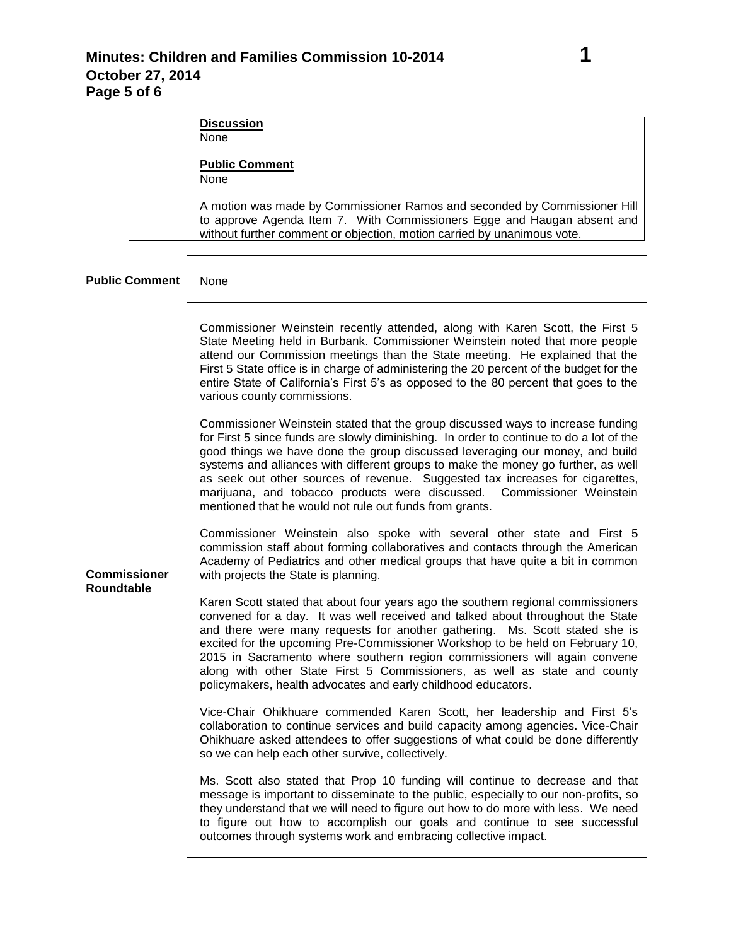| <b>Discussion</b><br>None                                                                                                                                                                                                       |
|---------------------------------------------------------------------------------------------------------------------------------------------------------------------------------------------------------------------------------|
| <b>Public Comment</b><br><b>None</b>                                                                                                                                                                                            |
| A motion was made by Commissioner Ramos and seconded by Commissioner Hill<br>to approve Agenda Item 7. With Commissioners Egge and Haugan absent and<br>without further comment or objection, motion carried by unanimous vote. |

## **Public Comment** None

|                                          | Commissioner Weinstein recently attended, along with Karen Scott, the First 5<br>State Meeting held in Burbank. Commissioner Weinstein noted that more people<br>attend our Commission meetings than the State meeting. He explained that the<br>First 5 State office is in charge of administering the 20 percent of the budget for the<br>entire State of California's First 5's as opposed to the 80 percent that goes to the<br>various county commissions.                                                                                                       |
|------------------------------------------|-----------------------------------------------------------------------------------------------------------------------------------------------------------------------------------------------------------------------------------------------------------------------------------------------------------------------------------------------------------------------------------------------------------------------------------------------------------------------------------------------------------------------------------------------------------------------|
|                                          | Commissioner Weinstein stated that the group discussed ways to increase funding<br>for First 5 since funds are slowly diminishing. In order to continue to do a lot of the<br>good things we have done the group discussed leveraging our money, and build<br>systems and alliances with different groups to make the money go further, as well<br>as seek out other sources of revenue. Suggested tax increases for cigarettes,<br>marijuana, and tobacco products were discussed. Commissioner Weinstein<br>mentioned that he would not rule out funds from grants. |
| <b>Commissioner</b><br><b>Roundtable</b> | Commissioner Weinstein also spoke with several other state and First 5<br>commission staff about forming collaboratives and contacts through the American<br>Academy of Pediatrics and other medical groups that have quite a bit in common<br>with projects the State is planning.                                                                                                                                                                                                                                                                                   |
|                                          | Karen Scott stated that about four years ago the southern regional commissioners<br>convened for a day. It was well received and talked about throughout the State<br>and there were many requests for another gathering. Ms. Scott stated she is<br>excited for the upcoming Pre-Commissioner Workshop to be held on February 10,<br>2015 in Sacramento where southern region commissioners will again convene<br>along with other State First 5 Commissioners, as well as state and county<br>policymakers, health advocates and early childhood educators.         |
|                                          | Vice-Chair Ohikhuare commended Karen Scott, her leadership and First 5's<br>collaboration to continue services and build capacity among agencies. Vice-Chair<br>Ohikhuare asked attendees to offer suggestions of what could be done differently<br>so we can help each other survive, collectively.                                                                                                                                                                                                                                                                  |
|                                          | Ms. Scott also stated that Prop 10 funding will continue to decrease and that<br>message is important to disseminate to the public, especially to our non-profits, so<br>they understand that we will need to figure out how to do more with less. We need<br>to figure out how to accomplish our goals and continue to see successful<br>outcomes through systems work and embracing collective impact.                                                                                                                                                              |